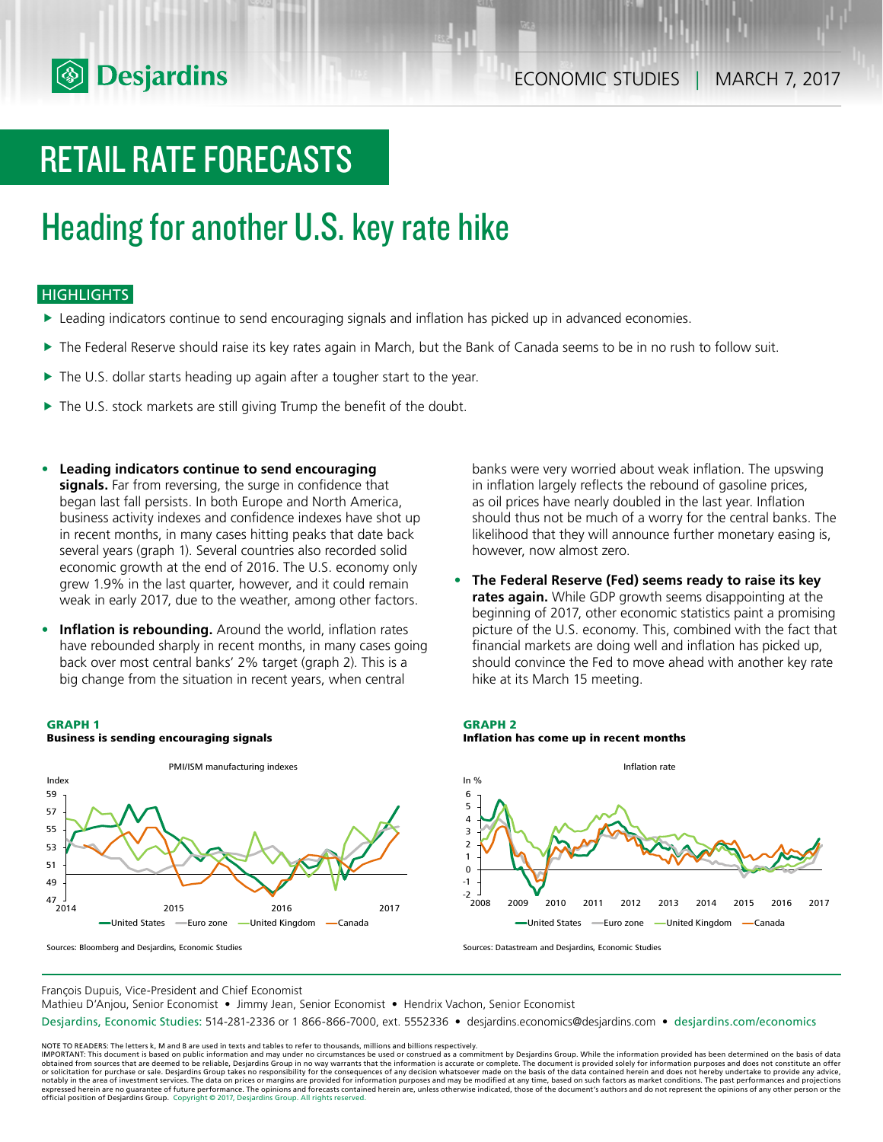

# RETAIL RATE FORECASTS

# Heading for another U.S. key rate hike

## **HIGHLIGHTS**

- $\blacktriangleright$  Leading indicators continue to send encouraging signals and inflation has picked up in advanced economies.
- The Federal Reserve should raise its key rates again in March, but the Bank of Canada seems to be in no rush to follow suit.
- $\blacktriangleright$  The U.S. dollar starts heading up again after a tougher start to the year.
- $\blacktriangleright$  The U.S. stock markets are still giving Trump the benefit of the doubt.
- **• Leading indicators continue to send encouraging signals.** Far from reversing, the surge in confidence that began last fall persists. In both Europe and North America, business activity indexes and confidence indexes have shot up in recent months, in many cases hitting peaks that date back several years (graph 1). Several countries also recorded solid economic growth at the end of 2016. The U.S. economy only grew 1.9% in the last quarter, however, and it could remain weak in early 2017, due to the weather, among other factors.
- **• Inflation is rebounding.** Around the world, inflation rates have rebounded sharply in recent months, in many cases going back over most central banks' 2% target (graph 2). This is a big change from the situation in recent years, when central

#### **GRAPH 1**



**Business is sending encouraging signals**

banks were very worried about weak inflation. The upswing in inflation largely reflects the rebound of gasoline prices, as oil prices have nearly doubled in the last year. Inflation should thus not be much of a worry for the central banks. The likelihood that they will announce further monetary easing is, however, now almost zero.

**• The Federal Reserve (Fed) seems ready to raise its key rates again.** While GDP growth seems disappointing at the beginning of 2017, other economic statistics paint a promising picture of the U.S. economy. This, combined with the fact that financial markets are doing well and inflation has picked up, should convince the Fed to move ahead with another key rate hike at its March 15 meeting.

### **GRAPH 2 Inflation has come up in recent months**



Sources: Datastream and Desjardins, Economic Studies

François Dupuis, Vice-President and Chief Economist

Mathieu D'Anjou, Senior Economist • Jimmy Jean, Senior Economist • Hendrix Vachon, Senior Economist

Desjardins, Economic Studies: 514-281-2336 or 1 866-866-7000, ext. 5552336 • desjardins.economics@desjardins.com • desjardins.com/economics

NOTE TO READERS: The letters k, M and B are used in texts and tables to refer to thousands, millions and billions respectively.<br>IMPORTANT: This document is based on public information and may under no circumstances be used obtained from sources that are deemed to be reliable, Desjardins Group in no way warrants that the information is accurate or complete. The document is provided solely for information purposes and does not constitute an of expressed herein are no guarantee of future performance. The opinions and forecasts contained herein are, unless otherwise indicated, those of the document's authors and do not represent the opinions of any other person or official position of Desjardins Group. Copyright © 2017, Desjardins Group. All rights reserved.

Sources: Bloomberg and Desjardins, Economic Studies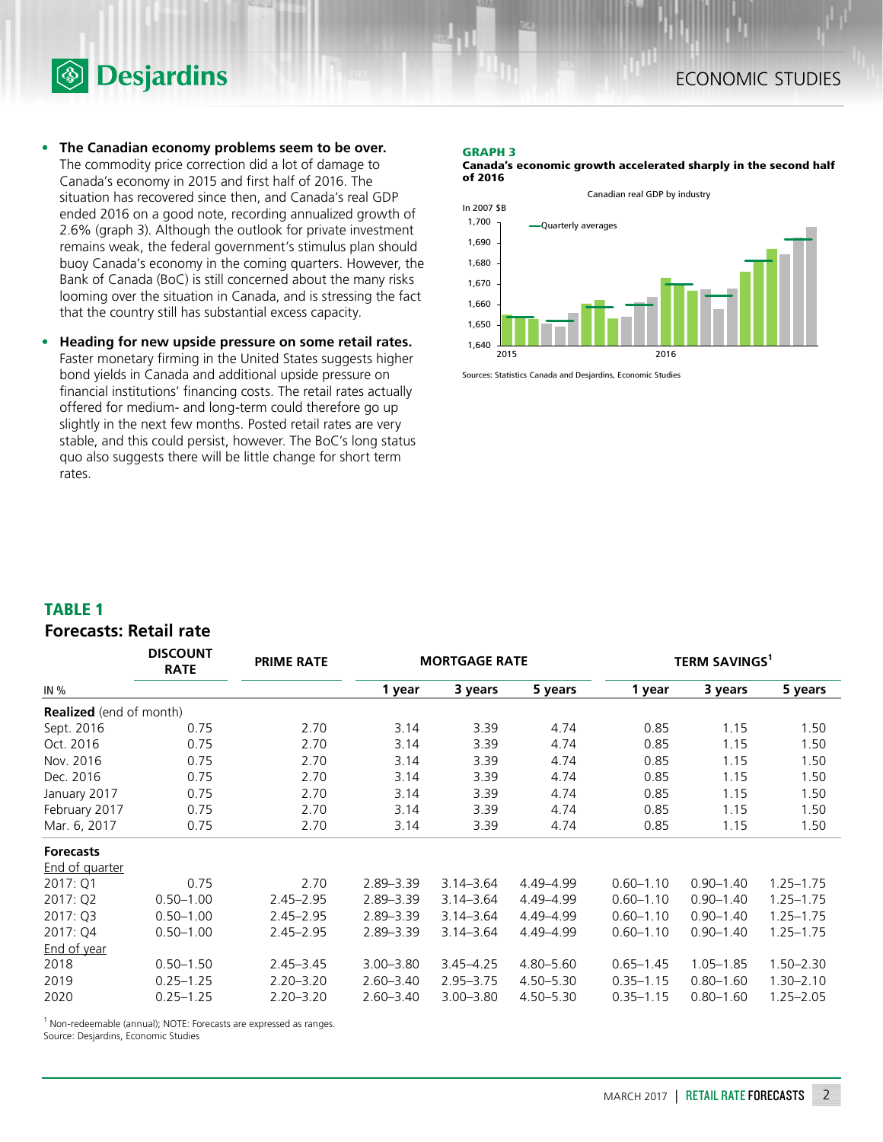



- **• The Canadian economy problems seem to be over.** The commodity price correction did a lot of damage to Canada's economy in 2015 and first half of 2016. The situation has recovered since then, and Canada's real GDP ended 2016 on a good note, recording annualized growth of 2.6% (graph 3). Although the outlook for private investment remains weak, the federal government's stimulus plan should buoy Canada's economy in the coming quarters. However, the Bank of Canada (BoC) is still concerned about the many risks looming over the situation in Canada, and is stressing the fact that the country still has substantial excess capacity.
- **• Heading for new upside pressure on some retail rates.** Faster monetary firming in the United States suggests higher bond yields in Canada and additional upside pressure on financial institutions' financing costs. The retail rates actually offered for medium- and long-term could therefore go up slightly in the next few months. Posted retail rates are very stable, and this could persist, however. The BoC's long status quo also suggests there will be little change for short term rates.

#### **GRAPH 3**

**Canada's economic growth accelerated sharply in the second half of 2016**



Sources: Statistics Canada and Desjardins, Economic Studies

### **TABLE 1**

## **Forecasts: Retail rate**

|                                | <b>DISCOUNT</b><br><b>RATE</b> | <b>PRIME RATE</b> | <b>MORTGAGE RATE</b> |               |               | <b>TERM SAVINGS</b> <sup>1</sup> |               |               |  |
|--------------------------------|--------------------------------|-------------------|----------------------|---------------|---------------|----------------------------------|---------------|---------------|--|
| IN %                           |                                |                   | 1 year               | 3 years       | 5 years       | 1 year                           | 3 years       | 5 years       |  |
| <b>Realized</b> (end of month) |                                |                   |                      |               |               |                                  |               |               |  |
| Sept. 2016                     | 0.75                           | 2.70              | 3.14                 | 3.39          | 4.74          | 0.85                             | 1.15          | 1.50          |  |
| Oct. 2016                      | 0.75                           | 2.70              | 3.14                 | 3.39          | 4.74          | 0.85                             | 1.15          | 1.50          |  |
| Nov. 2016                      | 0.75                           | 2.70              | 3.14                 | 3.39          | 4.74          | 0.85                             | 1.15          | 1.50          |  |
| Dec. 2016                      | 0.75                           | 2.70              | 3.14                 | 3.39          | 4.74          | 0.85                             | 1.15          | 1.50          |  |
| January 2017                   | 0.75                           | 2.70              | 3.14                 | 3.39          | 4.74          | 0.85                             | 1.15          | 1.50          |  |
| February 2017                  | 0.75                           | 2.70              | 3.14                 | 3.39          | 4.74          | 0.85                             | 1.15          | 1.50          |  |
| Mar. 6, 2017                   | 0.75                           | 2.70              | 3.14                 | 3.39          | 4.74          | 0.85                             | 1.15          | 1.50          |  |
| <b>Forecasts</b>               |                                |                   |                      |               |               |                                  |               |               |  |
| <b>End of quarter</b>          |                                |                   |                      |               |               |                                  |               |               |  |
| 2017: Q1                       | 0.75                           | 2.70              | $2.89 - 3.39$        | $3.14 - 3.64$ | 4.49-4.99     | $0.60 - 1.10$                    | $0.90 - 1.40$ | $1.25 - 1.75$ |  |
| 2017: Q2                       | $0.50 - 1.00$                  | $2.45 - 2.95$     | $2.89 - 3.39$        | $3.14 - 3.64$ | 4.49-4.99     | $0.60 - 1.10$                    | $0.90 - 1.40$ | $1.25 - 1.75$ |  |
| 2017: Q3                       | $0.50 - 1.00$                  | $2.45 - 2.95$     | $2.89 - 3.39$        | $3.14 - 3.64$ | 4.49-4.99     | $0.60 - 1.10$                    | $0.90 - 1.40$ | $1.25 - 1.75$ |  |
| 2017: Q4                       | $0.50 - 1.00$                  | $2.45 - 2.95$     | 2.89 - 3.39          | $3.14 - 3.64$ | 4.49-4.99     | $0.60 - 1.10$                    | $0.90 - 1.40$ | $1.25 - 1.75$ |  |
| <b>End of year</b>             |                                |                   |                      |               |               |                                  |               |               |  |
| 2018                           | $0.50 - 1.50$                  | $2.45 - 3.45$     | $3.00 - 3.80$        | $3.45 - 4.25$ | 4.80-5.60     | $0.65 - 1.45$                    | $1.05 - 1.85$ | $1.50 - 2.30$ |  |
| 2019                           | $0.25 - 1.25$                  | $2.20 - 3.20$     | $2.60 - 3.40$        | $2.95 - 3.75$ | $4.50 - 5.30$ | $0.35 - 1.15$                    | $0.80 - 1.60$ | $1.30 - 2.10$ |  |
| 2020                           | $0.25 - 1.25$                  | $2.20 - 3.20$     | $2.60 - 3.40$        | $3.00 - 3.80$ | 4.50-5.30     | $0.35 - 1.15$                    | $0.80 - 1.60$ | $1.25 - 2.05$ |  |

<sup>1</sup> Non-redeemable (annual); NOTE: Forecasts are expressed as ranges.

Source: Desjardins, Economic Studies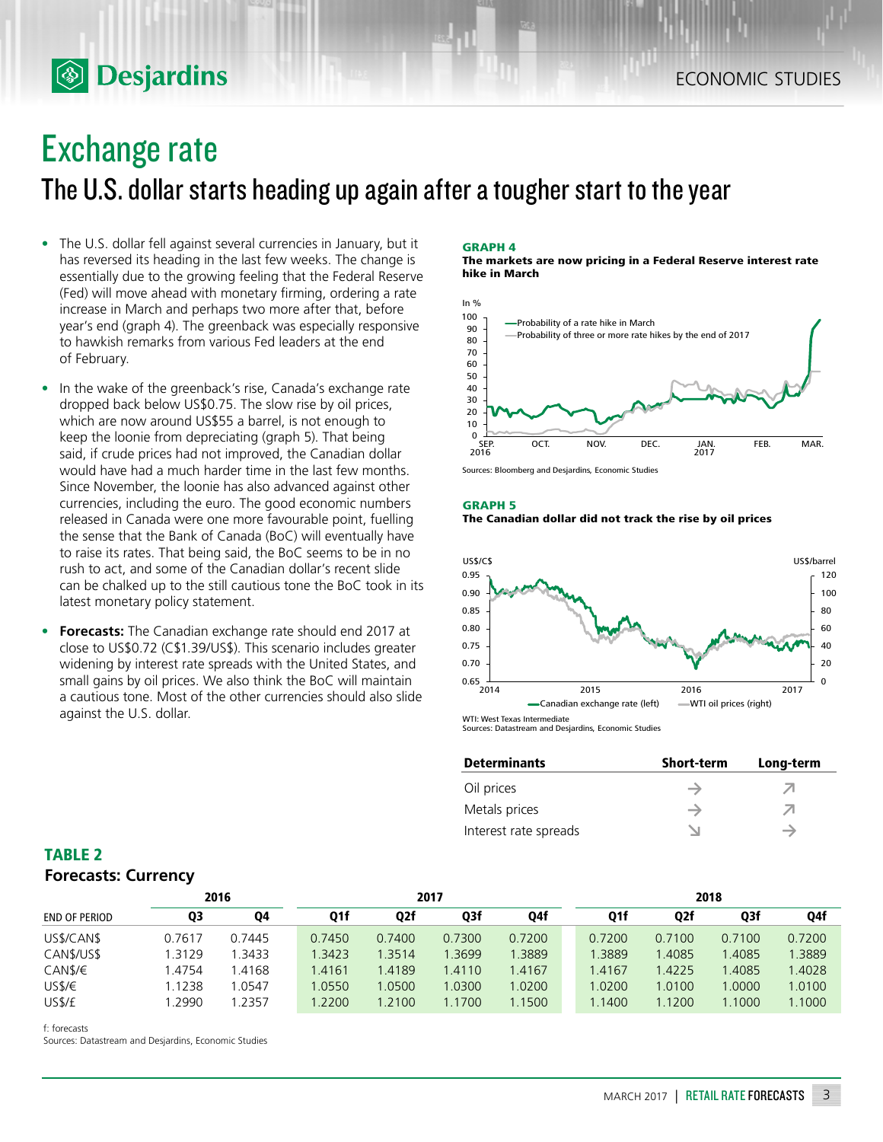## Exchange rate

**S** Desjardins

The U.S. dollar starts heading up again after a tougher start to the year

- The U.S. dollar fell against several currencies in January, but it has reversed its heading in the last few weeks. The change is essentially due to the growing feeling that the Federal Reserve (Fed) will move ahead with monetary firming, ordering a rate increase in March and perhaps two more after that, before year's end (graph 4). The greenback was especially responsive to hawkish remarks from various Fed leaders at the end of February.
- In the wake of the greenback's rise, Canada's exchange rate dropped back below US\$0.75. The slow rise by oil prices, which are now around US\$55 a barrel, is not enough to keep the loonie from depreciating (graph 5). That being said, if crude prices had not improved, the Canadian dollar would have had a much harder time in the last few months. Since November, the loonie has also advanced against other currencies, including the euro. The good economic numbers released in Canada were one more favourable point, fuelling the sense that the Bank of Canada (BoC) will eventually have to raise its rates. That being said, the BoC seems to be in no rush to act, and some of the Canadian dollar's recent slide can be chalked up to the still cautious tone the BoC took in its latest monetary policy statement.
- **• Forecasts:** The Canadian exchange rate should end 2017 at close to US\$0.72 (C\$1.39/US\$). This scenario includes greater widening by interest rate spreads with the United States, and small gains by oil prices. We also think the BoC will maintain a cautious tone. Most of the other currencies should also slide against the U.S. dollar.

#### **GRAPH 4**

**The markets are now pricing in a Federal Reserve interest rate hike in March**



Sources: Bloomberg and Desjardins, Economic Studies

#### **GRAPH 5**





Sources: Datastream and Desjardins, Economic Studies

| <b>Determinants</b>   | <b>Short-term</b> | Long-term |
|-----------------------|-------------------|-----------|
| Oil prices            |                   | ╱╢        |
| Metals prices         |                   | ╱╢        |
| Interest rate spreads |                   |           |

## **TABLE 2 Forecasts: Currency**

|                      | 2016   |        | 2017   |        |        |        | 2018   |        |        |        |
|----------------------|--------|--------|--------|--------|--------|--------|--------|--------|--------|--------|
| <b>END OF PERIOD</b> | Q3     | 04     | Q1f    | Q2f    | Q3f    | Q4f    | Q1f    | Q2f    | Q3f    | Q4f    |
| US\$/CAN\$           | 0.7617 | 0.7445 | 0.7450 | 0.7400 | 0.7300 | 0.7200 | 0.7200 | 0.7100 | 0.7100 | 0.7200 |
| CAN\$/US\$           | 1.3129 | 1.3433 | 1.3423 | 1.3514 | 1.3699 | 1.3889 | 1.3889 | 1.4085 | 1.4085 | .3889  |
| CAN\$/€              | .4754  | .4168  | 1.4161 | 1.4189 | 1.4110 | 1.4167 | .4167  | 1.4225 | 1.4085 | 1.4028 |
| USS/E                | 1.1238 | 1.0547 | 1.0550 | 1.0500 | 1.0300 | 1.0200 | .0200  | 1.0100 | 0000.  | 1.0100 |
| US\$/£               | .2990  | .2357  | .2200  | 1.2100 | 1.1700 | 1.1500 | 1.1400 | 1.1200 | 1.1000 | 1.1000 |

f: forecasts

Sources: Datastream and Desjardins, Economic Studies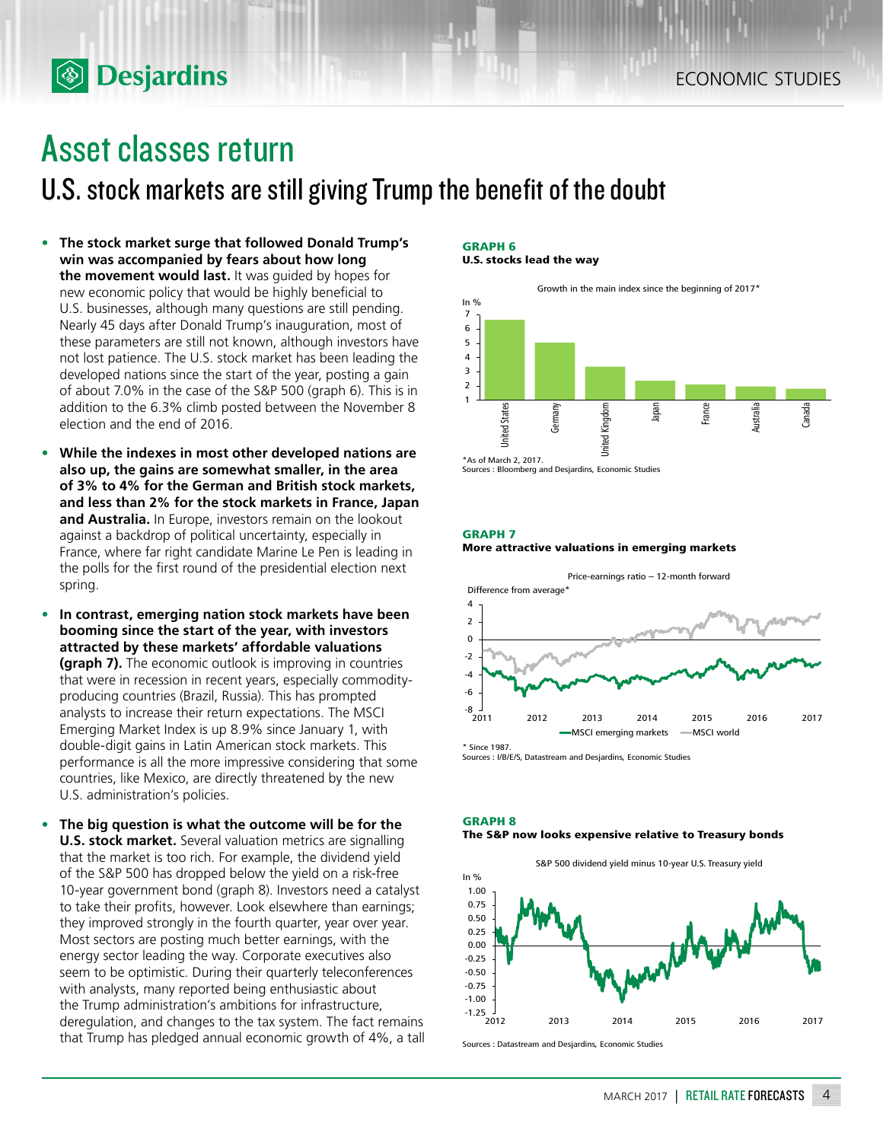## Asset classes return

**<b>Desjardins** 

U.S. stock markets are still giving Trump the benefit of the doubt

- **• The stock market surge that followed Donald Trump's win was accompanied by fears about how long the movement would last.** It was guided by hopes for new economic policy that would be highly beneficial to U.S. businesses, although many questions are still pending. Nearly 45 days after Donald Trump's inauguration, most of these parameters are still not known, although investors have not lost patience. The U.S. stock market has been leading the developed nations since the start of the year, posting a gain of about 7.0% in the case of the S&P 500 (graph 6). This is in addition to the 6.3% climb posted between the November 8 election and the end of 2016.
- **• While the indexes in most other developed nations are also up, the gains are somewhat smaller, in the area of 3% to 4% for the German and British stock markets, and less than 2% for the stock markets in France, Japan and Australia.** In Europe, investors remain on the lookout against a backdrop of political uncertainty, especially in France, where far right candidate Marine Le Pen is leading in the polls for the first round of the presidential election next spring.
- **• In contrast, emerging nation stock markets have been booming since the start of the year, with investors attracted by these markets' affordable valuations (graph 7).** The economic outlook is improving in countries that were in recession in recent years, especially commodityproducing countries (Brazil, Russia). This has prompted analysts to increase their return expectations. The MSCI Emerging Market Index is up 8.9% since January 1, with double-digit gains in Latin American stock markets. This performance is all the more impressive considering that some countries, like Mexico, are directly threatened by the new U.S. administration's policies.
- **• The big question is what the outcome will be for the U.S. stock market.** Several valuation metrics are signalling that the market is too rich. For example, the dividend yield of the S&P 500 has dropped below the yield on a risk-free 10-year government bond (graph 8). Investors need a catalyst to take their profits, however. Look elsewhere than earnings; they improved strongly in the fourth quarter, year over year. Most sectors are posting much better earnings, with the energy sector leading the way. Corporate executives also seem to be optimistic. During their quarterly teleconferences with analysts, many reported being enthusiastic about the Trump administration's ambitions for infrastructure, deregulation, and changes to the tax system. The fact remains that Trump has pledged annual economic growth of 4%, a tall

#### **GRAPH 6 U.S. stocks lead the way**



Sources : Bloomberg and Desjardins, Economic Studies

#### **GRAPH 7**

#### **More attractive valuations in emerging markets**



Sources : I/B/E/S, Datastream and Desjardins, Economic Studies





Sources : Datastream and Desjardins, Economic Studies